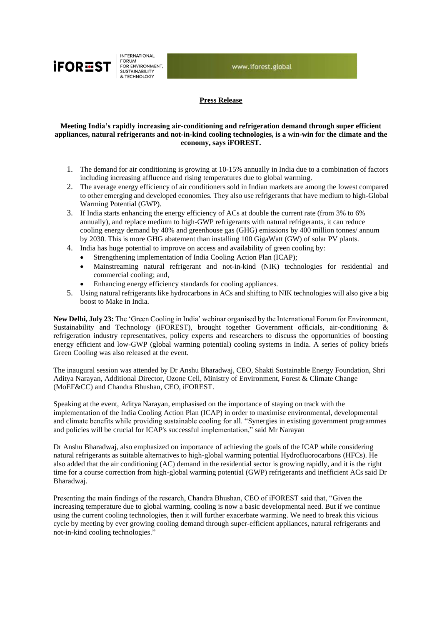

**INTERNATIONAL** FORUM FOR ENVIRONMENT,<br>SUSTAINABILITY & TECHNOLOGY

www.iforest.global

## **Press Release**

## **Meeting India's rapidly increasing air-conditioning and refrigeration demand through super efficient appliances, natural refrigerants and not-in-kind cooling technologies, is a win-win for the climate and the economy, says iFOREST.**

- 1. The demand for air conditioning is growing at 10-15% annually in India due to a combination of factors including increasing affluence and rising temperatures due to global warming.
- 2. The average energy efficiency of air conditioners sold in Indian markets are among the lowest compared to other emerging and developed economies. They also use refrigerants that have medium to high-Global Warming Potential (GWP).
- 3. If India starts enhancing the energy efficiency of ACs at double the current rate (from 3% to 6% annually), and replace medium to high-GWP refrigerants with natural refrigerants, it can reduce cooling energy demand by 40% and greenhouse gas (GHG) emissions by 400 million tonnes/ annum by 2030. This is more GHG abatement than installing 100 GigaWatt (GW) of solar PV plants.
- 4. India has huge potential to improve on access and availability of green cooling by:
	- Strengthening implementation of India Cooling Action Plan (ICAP);
		- Mainstreaming natural refrigerant and not-in-kind (NIK) technologies for residential and commercial cooling; and,
	- Enhancing energy efficiency standards for cooling appliances.
- 5. Using natural refrigerants like hydrocarbons in ACs and shifting to NIK technologies will also give a big boost to Make in India.

**New Delhi, July 23:** The 'Green Cooling in India' webinar organised by the International Forum for Environment, Sustainability and Technology (iFOREST), brought together Government officials, air-conditioning & refrigeration industry representatives, policy experts and researchers to discuss the opportunities of boosting energy efficient and low-GWP (global warming potential) cooling systems in India. A series of policy briefs Green Cooling was also released at the event.

The inaugural session was attended by Dr Anshu Bharadwaj, CEO, Shakti Sustainable Energy Foundation, Shri Aditya Narayan, Additional Director, Ozone Cell, Ministry of Environment, Forest & Climate Change (MoEF&CC) and Chandra Bhushan, CEO, iFOREST.

Speaking at the event, Aditya Narayan, emphasised on the importance of staying on track with the implementation of the India Cooling Action Plan (ICAP) in order to maximise environmental, developmental and climate benefits while providing sustainable cooling for all. "Synergies in existing government programmes and policies will be crucial for ICAP's successful implementation," said Mr Narayan

Dr Anshu Bharadwaj, also emphasized on importance of achieving the goals of the ICAP while considering natural refrigerants as suitable alternatives to high-global warming potential Hydrofluorocarbons (HFCs). He also added that the air conditioning (AC) demand in the residential sector is growing rapidly, and it is the right time for a course correction from high-global warming potential (GWP) refrigerants and inefficient ACs said Dr Bharadwaj.

Presenting the main findings of the research, Chandra Bhushan, CEO of iFOREST said that, "Given the increasing temperature due to global warming, cooling is now a basic developmental need. But if we continue using the current cooling technologies, then it will further exacerbate warming. We need to break this vicious cycle by meeting by ever growing cooling demand through super-efficient appliances, natural refrigerants and not-in-kind cooling technologies."